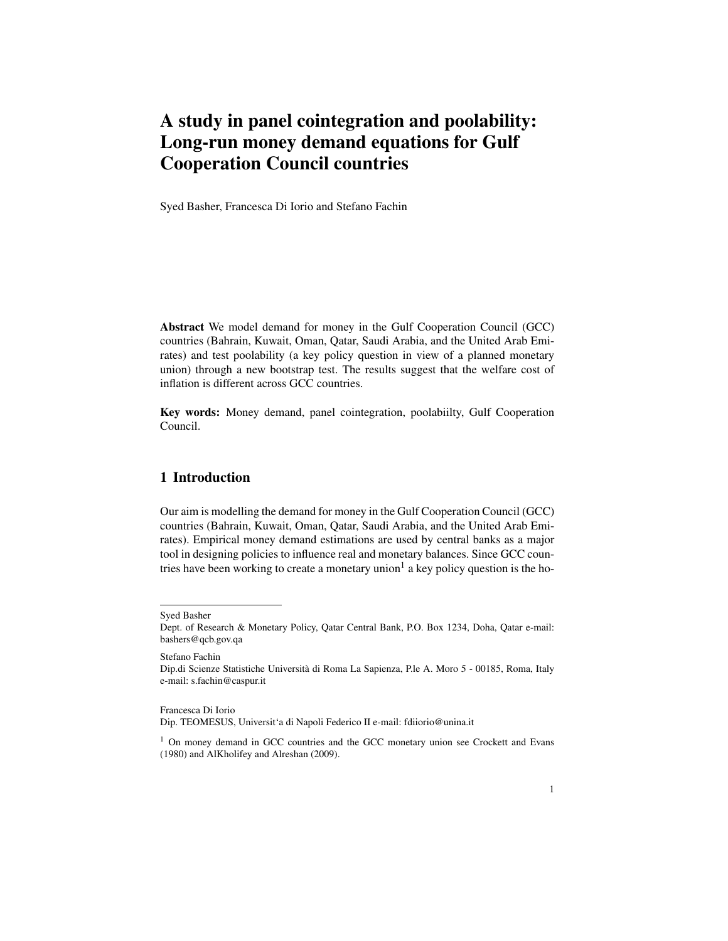## A study in panel cointegration and poolability: Long-run money demand equations for Gulf Cooperation Council countries

Syed Basher, Francesca Di Iorio and Stefano Fachin

Abstract We model demand for money in the Gulf Cooperation Council (GCC) countries (Bahrain, Kuwait, Oman, Qatar, Saudi Arabia, and the United Arab Emirates) and test poolability (a key policy question in view of a planned monetary union) through a new bootstrap test. The results suggest that the welfare cost of inflation is different across GCC countries.

Key words: Money demand, panel cointegration, poolabiilty, Gulf Cooperation Council.

## 1 Introduction

Our aim is modelling the demand for money in the Gulf Cooperation Council (GCC) countries (Bahrain, Kuwait, Oman, Qatar, Saudi Arabia, and the United Arab Emirates). Empirical money demand estimations are used by central banks as a major tool in designing policies to influence real and monetary balances. Since GCC countries have been working to create a monetary union<sup>1</sup> a key policy question is the ho-

Stefano Fachin

Syed Basher

Dept. of Research & Monetary Policy, Qatar Central Bank, P.O. Box 1234, Doha, Qatar e-mail: bashers@qcb.gov.qa

Dip.di Scienze Statistiche Universita di Roma La Sapienza, P.le A. Moro 5 - 00185, Roma, Italy ` e-mail: s.fachin@caspur.it

Francesca Di Iorio Dip. TEOMESUS, Universit'a di Napoli Federico II e-mail: fdiiorio@unina.it

<sup>&</sup>lt;sup>1</sup> On money demand in GCC countries and the GCC monetary union see Crockett and Evans (1980) and AlKholifey and Alreshan (2009).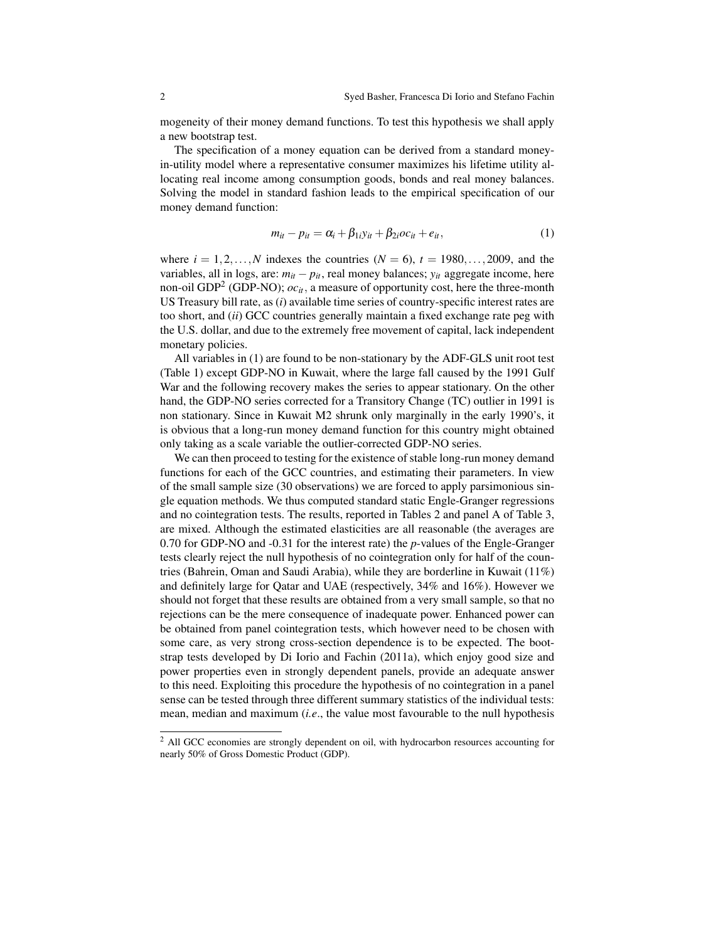mogeneity of their money demand functions. To test this hypothesis we shall apply a new bootstrap test.

The specification of a money equation can be derived from a standard moneyin-utility model where a representative consumer maximizes his lifetime utility allocating real income among consumption goods, bonds and real money balances. Solving the model in standard fashion leads to the empirical specification of our money demand function:

$$
m_{it} - p_{it} = \alpha_i + \beta_{1i} y_{it} + \beta_{2i} oc_{it} + e_{it}, \qquad (1)
$$

where  $i = 1, 2, ..., N$  indexes the countries  $(N = 6)$ ,  $t = 1980, ..., 2009$ , and the variables, all in logs, are:  $m_{it} - p_{it}$ , real money balances;  $y_{it}$  aggregate income, here non-oil GDP<sup>2</sup> (GDP-NO); *ocit*, a measure of opportunity cost, here the three-month US Treasury bill rate, as (*i*) available time series of country-specific interest rates are too short, and (*ii*) GCC countries generally maintain a fixed exchange rate peg with the U.S. dollar, and due to the extremely free movement of capital, lack independent monetary policies.

All variables in (1) are found to be non-stationary by the ADF-GLS unit root test (Table 1) except GDP-NO in Kuwait, where the large fall caused by the 1991 Gulf War and the following recovery makes the series to appear stationary. On the other hand, the GDP-NO series corrected for a Transitory Change (TC) outlier in 1991 is non stationary. Since in Kuwait M2 shrunk only marginally in the early 1990's, it is obvious that a long-run money demand function for this country might obtained only taking as a scale variable the outlier-corrected GDP-NO series.

We can then proceed to testing for the existence of stable long-run money demand functions for each of the GCC countries, and estimating their parameters. In view of the small sample size (30 observations) we are forced to apply parsimonious single equation methods. We thus computed standard static Engle-Granger regressions and no cointegration tests. The results, reported in Tables 2 and panel A of Table 3, are mixed. Although the estimated elasticities are all reasonable (the averages are 0.70 for GDP-NO and -0.31 for the interest rate) the *p*-values of the Engle-Granger tests clearly reject the null hypothesis of no cointegration only for half of the countries (Bahrein, Oman and Saudi Arabia), while they are borderline in Kuwait (11%) and definitely large for Qatar and UAE (respectively, 34% and 16%). However we should not forget that these results are obtained from a very small sample, so that no rejections can be the mere consequence of inadequate power. Enhanced power can be obtained from panel cointegration tests, which however need to be chosen with some care, as very strong cross-section dependence is to be expected. The bootstrap tests developed by Di Iorio and Fachin (2011a), which enjoy good size and power properties even in strongly dependent panels, provide an adequate answer to this need. Exploiting this procedure the hypothesis of no cointegration in a panel sense can be tested through three different summary statistics of the individual tests: mean, median and maximum (*i.e*., the value most favourable to the null hypothesis

<sup>&</sup>lt;sup>2</sup> All GCC economies are strongly dependent on oil, with hydrocarbon resources accounting for nearly 50% of Gross Domestic Product (GDP).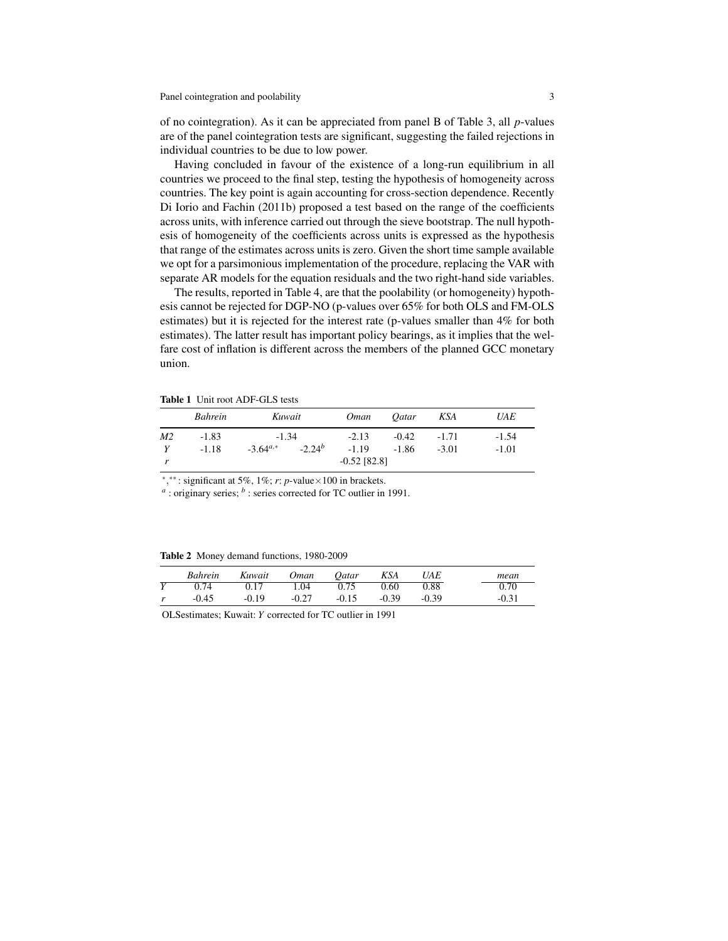of no cointegration). As it can be appreciated from panel B of Table 3, all *p*-values are of the panel cointegration tests are significant, suggesting the failed rejections in individual countries to be due to low power.

Having concluded in favour of the existence of a long-run equilibrium in all countries we proceed to the final step, testing the hypothesis of homogeneity across countries. The key point is again accounting for cross-section dependence. Recently Di Iorio and Fachin (2011b) proposed a test based on the range of the coefficients across units, with inference carried out through the sieve bootstrap. The null hypothesis of homogeneity of the coefficients across units is expressed as the hypothesis that range of the estimates across units is zero. Given the short time sample available we opt for a parsimonious implementation of the procedure, replacing the VAR with separate AR models for the equation residuals and the two right-hand side variables.

The results, reported in Table 4, are that the poolability (or homogeneity) hypothesis cannot be rejected for DGP-NO (p-values over 65% for both OLS and FM-OLS estimates) but it is rejected for the interest rate (p-values smaller than 4% for both estimates). The latter result has important policy bearings, as it implies that the welfare cost of inflation is different across the members of the planned GCC monetary union.

Table 1 Unit root ADF-GLS tests

|                | Bahrein            | Kuwait                   |             | <i>Oman</i>        | <i>Oatar</i>       | KSA                | UAE                |
|----------------|--------------------|--------------------------|-------------|--------------------|--------------------|--------------------|--------------------|
| M <sub>2</sub> | $-1.83$<br>$-1.18$ | $-1.34$<br>$-3.64^{a,*}$ | $-2.24^{b}$ | $-2.13$<br>$-1.19$ | $-0.42$<br>$-1.86$ | $-1.71$<br>$-3.01$ | $-1.54$<br>$-1.01$ |
|                |                    |                          |             | $-0.52$ [82.8]     |                    |                    |                    |

∗ , ∗∗ : significant at 5%, 1%; *r*: *p*-value×100 in brackets.

<sup>*a*</sup>: originary series; <sup>*b*</sup>: series corrected for TC outlier in 1991.

Table 2 Money demand functions, 1980-2009

|              | <b>Bahrein</b> | Kuwait  | Oman    | <i>Oatar</i> | KSA     | <i>UAE</i> | mean    |
|--------------|----------------|---------|---------|--------------|---------|------------|---------|
| $\mathbf{V}$ | .).74          | 0.17    | 04      | 0.75         | 0.60    | 0.88       | 0.70    |
| r            | $-0.45$        | $-0.19$ | $-0.27$ | $-0.15$      | $-0.39$ | $-0.39$    | $-0.31$ |

OLSestimates; Kuwait: *Y* corrected for TC outlier in 1991